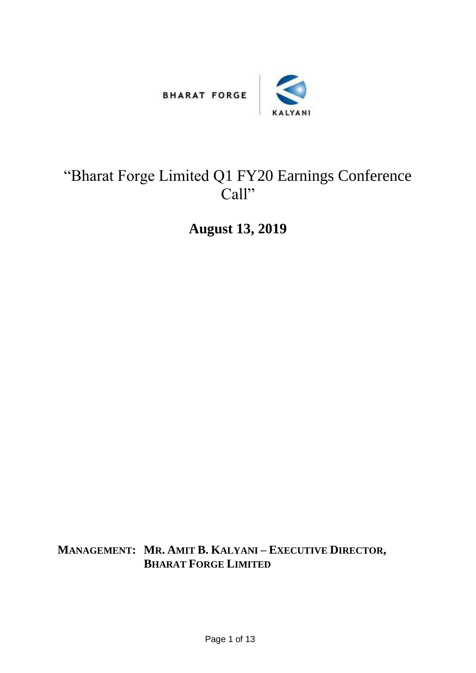



## "Bharat Forge Limited Q1 FY20 Earnings Conference Call"

**August 13, 2019**

**MANAGEMENT: MR. AMIT B. KALYANI – EXECUTIVE DIRECTOR, BHARAT FORGE LIMITED**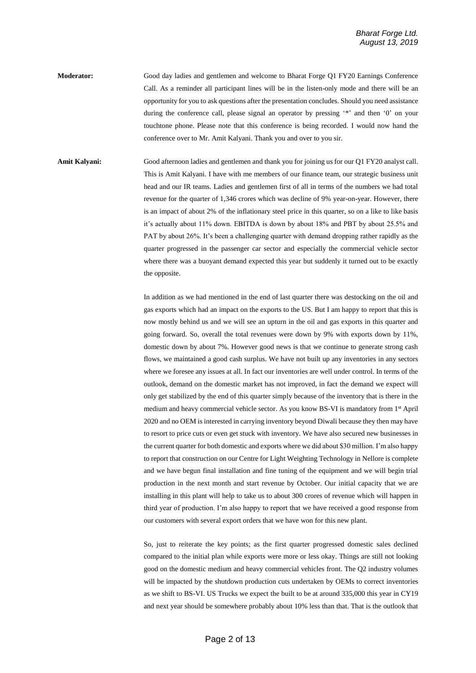**Moderator:** Good day ladies and gentlemen and welcome to Bharat Forge Q1 FY20 Earnings Conference Call. As a reminder all participant lines will be in the listen-only mode and there will be an opportunity for you to ask questions after the presentation concludes. Should you need assistance during the conference call, please signal an operator by pressing '\*' and then '0' on your touchtone phone. Please note that this conference is being recorded. I would now hand the conference over to Mr. Amit Kalyani. Thank you and over to you sir.

**Amit Kalyani:** Good afternoon ladies and gentlemen and thank you for joining us for our Q1 FY20 analyst call. This is Amit Kalyani. I have with me members of our finance team, our strategic business unit head and our IR teams. Ladies and gentlemen first of all in terms of the numbers we had total revenue for the quarter of 1,346 crores which was decline of 9% year-on-year. However, there is an impact of about 2% of the inflationary steel price in this quarter, so on a like to like basis it's actually about 11% down. EBITDA is down by about 18% and PBT by about 25.5% and PAT by about 26%. It's been a challenging quarter with demand dropping rather rapidly as the quarter progressed in the passenger car sector and especially the commercial vehicle sector where there was a buoyant demand expected this year but suddenly it turned out to be exactly the opposite.

> In addition as we had mentioned in the end of last quarter there was destocking on the oil and gas exports which had an impact on the exports to the US. But I am happy to report that this is now mostly behind us and we will see an upturn in the oil and gas exports in this quarter and going forward. So, overall the total revenues were down by 9% with exports down by 11%, domestic down by about 7%. However good news is that we continue to generate strong cash flows, we maintained a good cash surplus. We have not built up any inventories in any sectors where we foresee any issues at all. In fact our inventories are well under control. In terms of the outlook, demand on the domestic market has not improved, in fact the demand we expect will only get stabilized by the end of this quarter simply because of the inventory that is there in the medium and heavy commercial vehicle sector. As you know BS-VI is mandatory from 1st April 2020 and no OEM is interested in carrying inventory beyond Diwali because they then may have to resort to price cuts or even get stuck with inventory. We have also secured new businesses in the current quarter for both domestic and exports where we did about \$30 million. I'm also happy to report that construction on our Centre for Light Weighting Technology in Nellore is complete and we have begun final installation and fine tuning of the equipment and we will begin trial production in the next month and start revenue by October. Our initial capacity that we are installing in this plant will help to take us to about 300 crores of revenue which will happen in third year of production. I'm also happy to report that we have received a good response from our customers with several export orders that we have won for this new plant.

> So, just to reiterate the key points; as the first quarter progressed domestic sales declined compared to the initial plan while exports were more or less okay. Things are still not looking good on the domestic medium and heavy commercial vehicles front. The Q2 industry volumes will be impacted by the shutdown production cuts undertaken by OEMs to correct inventories as we shift to BS-VI. US Trucks we expect the built to be at around 335,000 this year in CY19 and next year should be somewhere probably about 10% less than that. That is the outlook that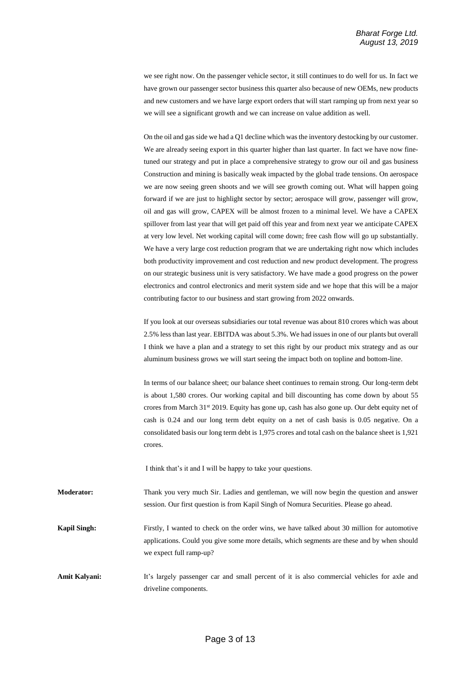we see right now. On the passenger vehicle sector, it still continues to do well for us. In fact we have grown our passenger sector business this quarter also because of new OEMs, new products and new customers and we have large export orders that will start ramping up from next year so we will see a significant growth and we can increase on value addition as well.

On the oil and gas side we had a Q1 decline which was the inventory destocking by our customer. We are already seeing export in this quarter higher than last quarter. In fact we have now finetuned our strategy and put in place a comprehensive strategy to grow our oil and gas business Construction and mining is basically weak impacted by the global trade tensions. On aerospace we are now seeing green shoots and we will see growth coming out. What will happen going forward if we are just to highlight sector by sector; aerospace will grow, passenger will grow, oil and gas will grow, CAPEX will be almost frozen to a minimal level. We have a CAPEX spillover from last year that will get paid off this year and from next year we anticipate CAPEX at very low level. Net working capital will come down; free cash flow will go up substantially. We have a very large cost reduction program that we are undertaking right now which includes both productivity improvement and cost reduction and new product development. The progress on our strategic business unit is very satisfactory. We have made a good progress on the power electronics and control electronics and merit system side and we hope that this will be a major contributing factor to our business and start growing from 2022 onwards.

If you look at our overseas subsidiaries our total revenue was about 810 crores which was about 2.5% less than last year. EBITDA was about 5.3%. We had issues in one of our plants but overall I think we have a plan and a strategy to set this right by our product mix strategy and as our aluminum business grows we will start seeing the impact both on topline and bottom-line.

In terms of our balance sheet; our balance sheet continues to remain strong. Our long-term debt is about 1,580 crores. Our working capital and bill discounting has come down by about 55 crores from March 31<sup>st</sup> 2019. Equity has gone up, cash has also gone up. Our debt equity net of cash is 0.24 and our long term debt equity on a net of cash basis is 0.05 negative. On a consolidated basis our long term debt is 1,975 crores and total cash on the balance sheet is 1,921 crores.

I think that's it and I will be happy to take your questions.

**Moderator:** Thank you very much Sir. Ladies and gentleman, we will now begin the question and answer session. Our first question is from Kapil Singh of Nomura Securities. Please go ahead.

**Kapil Singh:** Firstly, I wanted to check on the order wins, we have talked about 30 million for automotive applications. Could you give some more details, which segments are these and by when should we expect full ramp-up?

Amit Kalyani: It's largely passenger car and small percent of it is also commercial vehicles for axle and driveline components.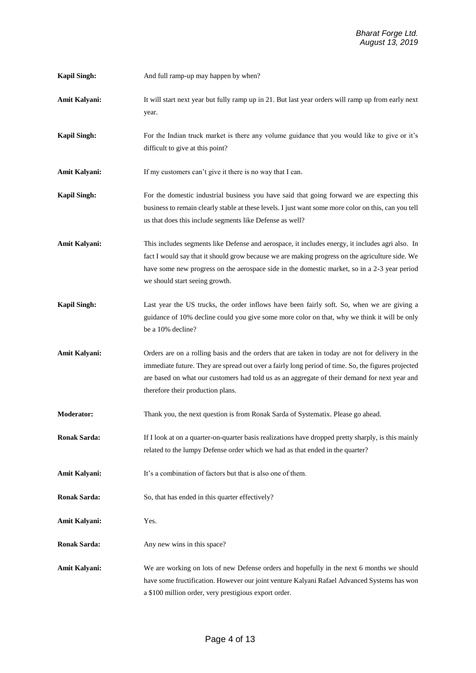| <b>Kapil Singh:</b>  | And full ramp-up may happen by when?                                                                                                                                                                                                                                                                                                         |
|----------------------|----------------------------------------------------------------------------------------------------------------------------------------------------------------------------------------------------------------------------------------------------------------------------------------------------------------------------------------------|
| <b>Amit Kalyani:</b> | It will start next year but fully ramp up in 21. But last year orders will ramp up from early next<br>year.                                                                                                                                                                                                                                  |
| <b>Kapil Singh:</b>  | For the Indian truck market is there any volume guidance that you would like to give or it's<br>difficult to give at this point?                                                                                                                                                                                                             |
| Amit Kalyani:        | If my customers can't give it there is no way that I can.                                                                                                                                                                                                                                                                                    |
| <b>Kapil Singh:</b>  | For the domestic industrial business you have said that going forward we are expecting this<br>business to remain clearly stable at these levels. I just want some more color on this, can you tell<br>us that does this include segments like Defense as well?                                                                              |
| <b>Amit Kalyani:</b> | This includes segments like Defense and aerospace, it includes energy, it includes agri also. In<br>fact I would say that it should grow because we are making progress on the agriculture side. We<br>have some new progress on the aerospace side in the domestic market, so in a 2-3 year period<br>we should start seeing growth.        |
| <b>Kapil Singh:</b>  | Last year the US trucks, the order inflows have been fairly soft. So, when we are giving a<br>guidance of 10% decline could you give some more color on that, why we think it will be only<br>be a 10% decline?                                                                                                                              |
| <b>Amit Kalyani:</b> | Orders are on a rolling basis and the orders that are taken in today are not for delivery in the<br>immediate future. They are spread out over a fairly long period of time. So, the figures projected<br>are based on what our customers had told us as an aggregate of their demand for next year and<br>therefore their production plans. |
| <b>Moderator:</b>    | Thank you, the next question is from Ronak Sarda of Systematix. Please go ahead.                                                                                                                                                                                                                                                             |
| <b>Ronak Sarda:</b>  | If I look at on a quarter-on-quarter basis realizations have dropped pretty sharply, is this mainly<br>related to the lumpy Defense order which we had as that ended in the quarter?                                                                                                                                                         |
| <b>Amit Kalyani:</b> | It's a combination of factors but that is also one of them.                                                                                                                                                                                                                                                                                  |
| <b>Ronak Sarda:</b>  | So, that has ended in this quarter effectively?                                                                                                                                                                                                                                                                                              |
| Amit Kalyani:        | Yes.                                                                                                                                                                                                                                                                                                                                         |
| <b>Ronak Sarda:</b>  | Any new wins in this space?                                                                                                                                                                                                                                                                                                                  |
| Amit Kalyani:        | We are working on lots of new Defense orders and hopefully in the next 6 months we should<br>have some fructification. However our joint venture Kalyani Rafael Advanced Systems has won<br>a \$100 million order, very prestigious export order.                                                                                            |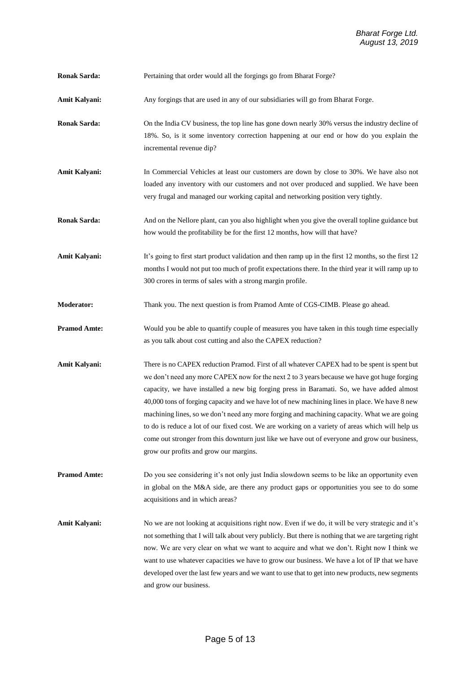| Pertaining that order would all the forgings go from Bharat Forge? |
|--------------------------------------------------------------------|
|                                                                    |

Amit Kalyani: Any forgings that are used in any of our subsidiaries will go from Bharat Forge.

**Ronak Sarda:** On the India CV business, the top line has gone down nearly 30% versus the industry decline of 18%. So, is it some inventory correction happening at our end or how do you explain the incremental revenue dip?

- **Amit Kalyani:** In Commercial Vehicles at least our customers are down by close to 30%. We have also not loaded any inventory with our customers and not over produced and supplied. We have been very frugal and managed our working capital and networking position very tightly.
- **Ronak Sarda:** And on the Nellore plant, can you also highlight when you give the overall topline guidance but how would the profitability be for the first 12 months, how will that have?

Amit Kalyani: It's going to first start product validation and then ramp up in the first 12 months, so the first 12 months I would not put too much of profit expectations there. In the third year it will ramp up to 300 crores in terms of sales with a strong margin profile.

**Moderator:** Thank you. The next question is from Pramod Amte of CGS-CIMB. Please go ahead.

- **Pramod Amte:** Would you be able to quantify couple of measures you have taken in this tough time especially as you talk about cost cutting and also the CAPEX reduction?
- **Amit Kalyani:** There is no CAPEX reduction Pramod. First of all whatever CAPEX had to be spent is spent but we don't need any more CAPEX now for the next 2 to 3 years because we have got huge forging capacity, we have installed a new big forging press in Baramati. So, we have added almost 40,000 tons of forging capacity and we have lot of new machining lines in place. We have 8 new machining lines, so we don't need any more forging and machining capacity. What we are going to do is reduce a lot of our fixed cost. We are working on a variety of areas which will help us come out stronger from this downturn just like we have out of everyone and grow our business, grow our profits and grow our margins.

**Pramod Amte:** Do you see considering it's not only just India slowdown seems to be like an opportunity even in global on the M&A side, are there any product gaps or opportunities you see to do some acquisitions and in which areas?

Amit Kalyani: No we are not looking at acquisitions right now. Even if we do, it will be very strategic and it's not something that I will talk about very publicly. But there is nothing that we are targeting right now. We are very clear on what we want to acquire and what we don't. Right now I think we want to use whatever capacities we have to grow our business. We have a lot of IP that we have developed over the last few years and we want to use that to get into new products, new segments and grow our business.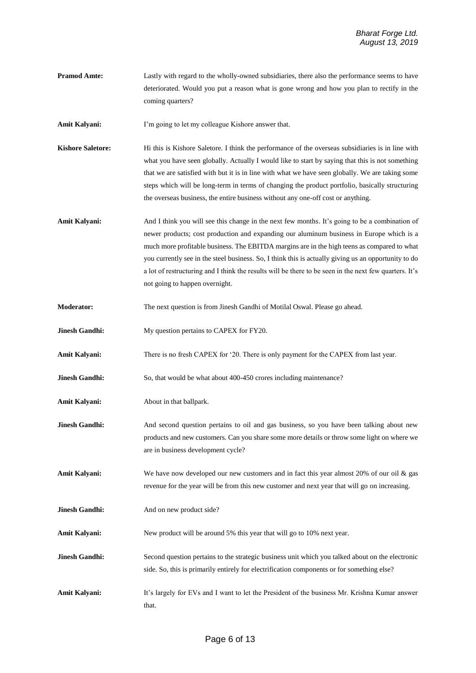**Pramod Amte:** Lastly with regard to the wholly-owned subsidiaries, there also the performance seems to have deteriorated. Would you put a reason what is gone wrong and how you plan to rectify in the coming quarters?

**Amit Kalyani:** I'm going to let my colleague Kishore answer that.

- **Kishore Saletore:** Hi this is Kishore Saletore. I think the performance of the overseas subsidiaries is in line with what you have seen globally. Actually I would like to start by saying that this is not something that we are satisfied with but it is in line with what we have seen globally. We are taking some steps which will be long-term in terms of changing the product portfolio, basically structuring the overseas business, the entire business without any one-off cost or anything.
- Amit Kalyani: And I think you will see this change in the next few months. It's going to be a combination of newer products; cost production and expanding our aluminum business in Europe which is a much more profitable business. The EBITDA margins are in the high teens as compared to what you currently see in the steel business. So, I think this is actually giving us an opportunity to do a lot of restructuring and I think the results will be there to be seen in the next few quarters. It's not going to happen overnight.
- **Moderator:** The next question is from Jinesh Gandhi of Motilal Oswal. Please go ahead.
- **Jinesh Gandhi:** My question pertains to CAPEX for FY20.

**Amit Kalyani:** There is no fresh CAPEX for '20. There is only payment for the CAPEX from last year.

- **Jinesh Gandhi:** So, that would be what about 400-450 crores including maintenance?
- **Amit Kalyani:** About in that ballpark.
- **Jinesh Gandhi:** And second question pertains to oil and gas business, so you have been talking about new products and new customers. Can you share some more details or throw some light on where we are in business development cycle?

**Amit Kalyani:** We have now developed our new customers and in fact this year almost 20% of our oil & gas revenue for the year will be from this new customer and next year that will go on increasing.

- **Jinesh Gandhi:** And on new product side?
- **Amit Kalyani:** New product will be around 5% this year that will go to 10% next year.
- **Jinesh Gandhi:** Second question pertains to the strategic business unit which you talked about on the electronic side. So, this is primarily entirely for electrification components or for something else?
- **Amit Kalyani:** It's largely for EVs and I want to let the President of the business Mr. Krishna Kumar answer that.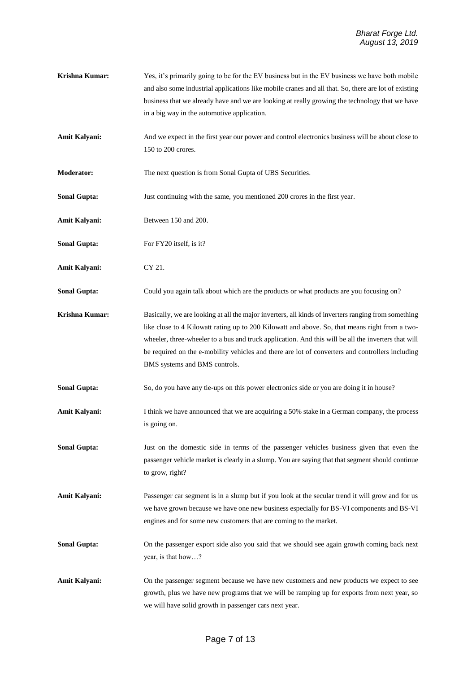- **Krishna Kumar:** Yes, it's primarily going to be for the EV business but in the EV business we have both mobile and also some industrial applications like mobile cranes and all that. So, there are lot of existing business that we already have and we are looking at really growing the technology that we have in a big way in the automotive application.
- Amit Kalyani: And we expect in the first year our power and control electronics business will be about close to 150 to 200 crores.

**Moderator:** The next question is from Sonal Gupta of UBS Securities.

**Sonal Gupta:** Just continuing with the same, you mentioned 200 crores in the first year.

**Amit Kalyani:** Between 150 and 200.

- **Sonal Gupta:** For FY20 itself, is it?
- **Amit Kalyani:** CY 21.

**Sonal Gupta:** Could you again talk about which are the products or what products are you focusing on?

- **Krishna Kumar:** Basically, we are looking at all the major inverters, all kinds of inverters ranging from something like close to 4 Kilowatt rating up to 200 Kilowatt and above. So, that means right from a twowheeler, three-wheeler to a bus and truck application. And this will be all the inverters that will be required on the e-mobility vehicles and there are lot of converters and controllers including BMS systems and BMS controls.
- **Sonal Gupta:** So, do you have any tie-ups on this power electronics side or you are doing it in house?
- Amit Kalyani: I think we have announced that we are acquiring a 50% stake in a German company, the process is going on.
- **Sonal Gupta:** Just on the domestic side in terms of the passenger vehicles business given that even the passenger vehicle market is clearly in a slump. You are saying that that segment should continue to grow, right?
- Amit Kalyani: Passenger car segment is in a slump but if you look at the secular trend it will grow and for us we have grown because we have one new business especially for BS-VI components and BS-VI engines and for some new customers that are coming to the market.
- **Sonal Gupta:** On the passenger export side also you said that we should see again growth coming back next year, is that how…?
- **Amit Kalyani:** On the passenger segment because we have new customers and new products we expect to see growth, plus we have new programs that we will be ramping up for exports from next year, so we will have solid growth in passenger cars next year.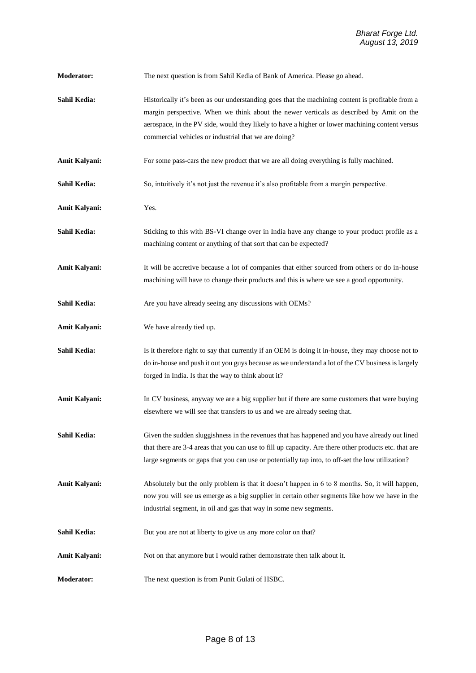| <b>Moderator:</b>    | The next question is from Sahil Kedia of Bank of America. Please go ahead.                                                                                                                                                                                                                                                                             |
|----------------------|--------------------------------------------------------------------------------------------------------------------------------------------------------------------------------------------------------------------------------------------------------------------------------------------------------------------------------------------------------|
| Sahil Kedia:         | Historically it's been as our understanding goes that the machining content is profitable from a<br>margin perspective. When we think about the newer verticals as described by Amit on the<br>aerospace, in the PV side, would they likely to have a higher or lower machining content versus<br>commercial vehicles or industrial that we are doing? |
| Amit Kalyani:        | For some pass-cars the new product that we are all doing everything is fully machined.                                                                                                                                                                                                                                                                 |
| Sahil Kedia:         | So, intuitively it's not just the revenue it's also profitable from a margin perspective.                                                                                                                                                                                                                                                              |
| <b>Amit Kalyani:</b> | Yes.                                                                                                                                                                                                                                                                                                                                                   |
| Sahil Kedia:         | Sticking to this with BS-VI change over in India have any change to your product profile as a<br>machining content or anything of that sort that can be expected?                                                                                                                                                                                      |
| <b>Amit Kalyani:</b> | It will be accretive because a lot of companies that either sourced from others or do in-house<br>machining will have to change their products and this is where we see a good opportunity.                                                                                                                                                            |
| Sahil Kedia:         | Are you have already seeing any discussions with OEMs?                                                                                                                                                                                                                                                                                                 |
| <b>Amit Kalyani:</b> | We have already tied up.                                                                                                                                                                                                                                                                                                                               |
| Sahil Kedia:         | Is it therefore right to say that currently if an OEM is doing it in-house, they may choose not to<br>do in-house and push it out you guys because as we understand a lot of the CV business is largely<br>forged in India. Is that the way to think about it?                                                                                         |
| <b>Amit Kalyani:</b> | In CV business, anyway we are a big supplier but if there are some customers that were buying<br>elsewhere we will see that transfers to us and we are already seeing that.                                                                                                                                                                            |
| Sahil Kedia:         | Given the sudden sluggishness in the revenues that has happened and you have already out lined<br>that there are 3-4 areas that you can use to fill up capacity. Are there other products etc. that are<br>large segments or gaps that you can use or potentially tap into, to off-set the low utilization?                                            |
| Amit Kalyani:        | Absolutely but the only problem is that it doesn't happen in 6 to 8 months. So, it will happen,<br>now you will see us emerge as a big supplier in certain other segments like how we have in the<br>industrial segment, in oil and gas that way in some new segments.                                                                                 |
| Sahil Kedia:         | But you are not at liberty to give us any more color on that?                                                                                                                                                                                                                                                                                          |
| Amit Kalyani:        | Not on that anymore but I would rather demonstrate then talk about it.                                                                                                                                                                                                                                                                                 |
| <b>Moderator:</b>    | The next question is from Punit Gulati of HSBC.                                                                                                                                                                                                                                                                                                        |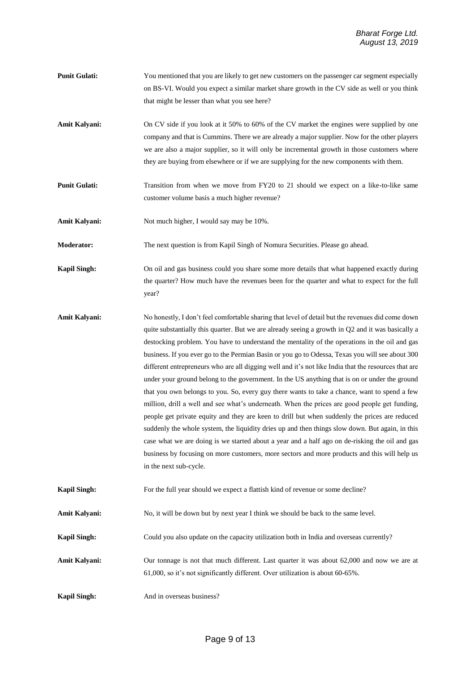- **Punit Gulati:** You mentioned that you are likely to get new customers on the passenger car segment especially on BS-VI. Would you expect a similar market share growth in the CV side as well or you think that might be lesser than what you see here?
- Amit Kalyani: On CV side if you look at it 50% to 60% of the CV market the engines were supplied by one company and that is Cummins. There we are already a major supplier. Now for the other players we are also a major supplier, so it will only be incremental growth in those customers where they are buying from elsewhere or if we are supplying for the new components with them.
- **Punit Gulati:** Transition from when we move from FY20 to 21 should we expect on a like-to-like same customer volume basis a much higher revenue?

Amit Kalyani: Not much higher, I would say may be 10%.

**Moderator:** The next question is from Kapil Singh of Nomura Securities. Please go ahead.

**Kapil Singh:** On oil and gas business could you share some more details that what happened exactly during the quarter? How much have the revenues been for the quarter and what to expect for the full year?

- **Amit Kalyani:** No honestly, I don't feel comfortable sharing that level of detail but the revenues did come down quite substantially this quarter. But we are already seeing a growth in Q2 and it was basically a destocking problem. You have to understand the mentality of the operations in the oil and gas business. If you ever go to the Permian Basin or you go to Odessa, Texas you will see about 300 different entrepreneurs who are all digging well and it's not like India that the resources that are under your ground belong to the government. In the US anything that is on or under the ground that you own belongs to you. So, every guy there wants to take a chance, want to spend a few million, drill a well and see what's underneath. When the prices are good people get funding, people get private equity and they are keen to drill but when suddenly the prices are reduced suddenly the whole system, the liquidity dries up and then things slow down. But again, in this case what we are doing is we started about a year and a half ago on de-risking the oil and gas business by focusing on more customers, more sectors and more products and this will help us in the next sub-cycle.
- **Kapil Singh:** For the full year should we expect a flattish kind of revenue or some decline?

Amit Kalyani: No, it will be down but by next year I think we should be back to the same level.

- **Kapil Singh:** Could you also update on the capacity utilization both in India and overseas currently?
- Amit Kalyani: Our tonnage is not that much different. Last quarter it was about 62,000 and now we are at 61,000, so it's not significantly different. Over utilization is about 60-65%.
- **Kapil Singh:** And in overseas business?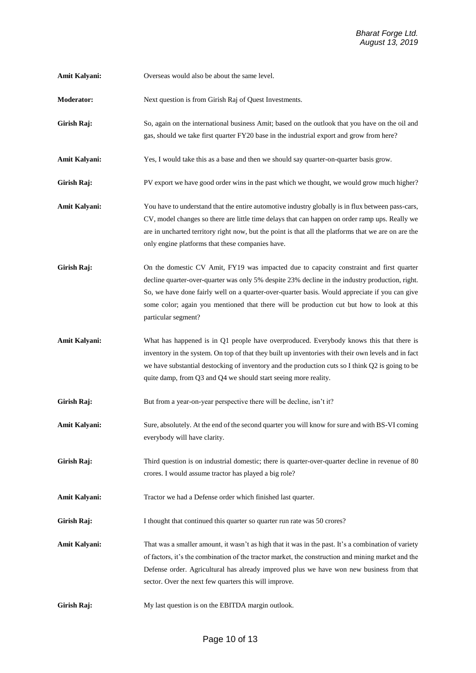- Amit Kalyani: Overseas would also be about the same level.
- **Moderator:** Next question is from Girish Raj of Quest Investments.
- Girish Raj: So, again on the international business Amit; based on the outlook that you have on the oil and gas, should we take first quarter FY20 base in the industrial export and grow from here?
- **Amit Kalyani:** Yes, I would take this as a base and then we should say quarter-on-quarter basis grow.
- Girish Raj: PV export we have good order wins in the past which we thought, we would grow much higher?
- **Amit Kalyani:** You have to understand that the entire automotive industry globally is in flux between pass-cars, CV, model changes so there are little time delays that can happen on order ramp ups. Really we are in uncharted territory right now, but the point is that all the platforms that we are on are the only engine platforms that these companies have.
- Girish Raj: On the domestic CV Amit, FY19 was impacted due to capacity constraint and first quarter decline quarter-over-quarter was only 5% despite 23% decline in the industry production, right. So, we have done fairly well on a quarter-over-quarter basis. Would appreciate if you can give some color; again you mentioned that there will be production cut but how to look at this particular segment?
- **Amit Kalyani:** What has happened is in Q1 people have overproduced. Everybody knows this that there is inventory in the system. On top of that they built up inventories with their own levels and in fact we have substantial destocking of inventory and the production cuts so I think Q2 is going to be quite damp, from Q3 and Q4 we should start seeing more reality.
- Girish Raj: But from a year-on-year perspective there will be decline, isn't it?
- Amit Kalyani: Sure, absolutely. At the end of the second quarter you will know for sure and with BS-VI coming everybody will have clarity.
- **Girish Raj:** Third question is on industrial domestic; there is quarter-over-quarter decline in revenue of 80 crores. I would assume tractor has played a big role?
- **Amit Kalyani:** Tractor we had a Defense order which finished last quarter.
- Girish Raj: I thought that continued this quarter so quarter run rate was 50 crores?
- Amit Kalyani: That was a smaller amount, it wasn't as high that it was in the past. It's a combination of variety of factors, it's the combination of the tractor market, the construction and mining market and the Defense order. Agricultural has already improved plus we have won new business from that sector. Over the next few quarters this will improve.
- **Girish Raj:** My last question is on the EBITDA margin outlook.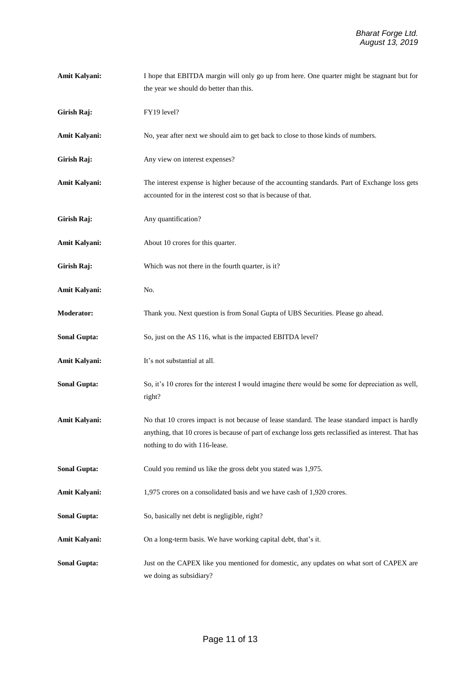| Amit Kalyani:        | I hope that EBITDA margin will only go up from here. One quarter might be stagnant but for                                                                                                                                              |
|----------------------|-----------------------------------------------------------------------------------------------------------------------------------------------------------------------------------------------------------------------------------------|
|                      | the year we should do better than this.                                                                                                                                                                                                 |
| Girish Raj:          | FY19 level?                                                                                                                                                                                                                             |
| <b>Amit Kalyani:</b> | No, year after next we should aim to get back to close to those kinds of numbers.                                                                                                                                                       |
| Girish Raj:          | Any view on interest expenses?                                                                                                                                                                                                          |
| Amit Kalyani:        | The interest expense is higher because of the accounting standards. Part of Exchange loss gets<br>accounted for in the interest cost so that is because of that.                                                                        |
| Girish Raj:          | Any quantification?                                                                                                                                                                                                                     |
| <b>Amit Kalyani:</b> | About 10 crores for this quarter.                                                                                                                                                                                                       |
| Girish Raj:          | Which was not there in the fourth quarter, is it?                                                                                                                                                                                       |
| Amit Kalyani:        | No.                                                                                                                                                                                                                                     |
| Moderator:           | Thank you. Next question is from Sonal Gupta of UBS Securities. Please go ahead.                                                                                                                                                        |
| <b>Sonal Gupta:</b>  | So, just on the AS 116, what is the impacted EBITDA level?                                                                                                                                                                              |
| <b>Amit Kalyani:</b> | It's not substantial at all.                                                                                                                                                                                                            |
| <b>Sonal Gupta:</b>  | So, it's 10 crores for the interest I would imagine there would be some for depreciation as well,<br>right?                                                                                                                             |
| <b>Amit Kalyani:</b> | No that 10 crores impact is not because of lease standard. The lease standard impact is hardly<br>anything, that 10 crores is because of part of exchange loss gets reclassified as interest. That has<br>nothing to do with 116-lease. |
| <b>Sonal Gupta:</b>  | Could you remind us like the gross debt you stated was 1,975.                                                                                                                                                                           |
| <b>Amit Kalyani:</b> | 1,975 crores on a consolidated basis and we have cash of 1,920 crores.                                                                                                                                                                  |
| <b>Sonal Gupta:</b>  | So, basically net debt is negligible, right?                                                                                                                                                                                            |
| <b>Amit Kalyani:</b> | On a long-term basis. We have working capital debt, that's it.                                                                                                                                                                          |
| <b>Sonal Gupta:</b>  | Just on the CAPEX like you mentioned for domestic, any updates on what sort of CAPEX are<br>we doing as subsidiary?                                                                                                                     |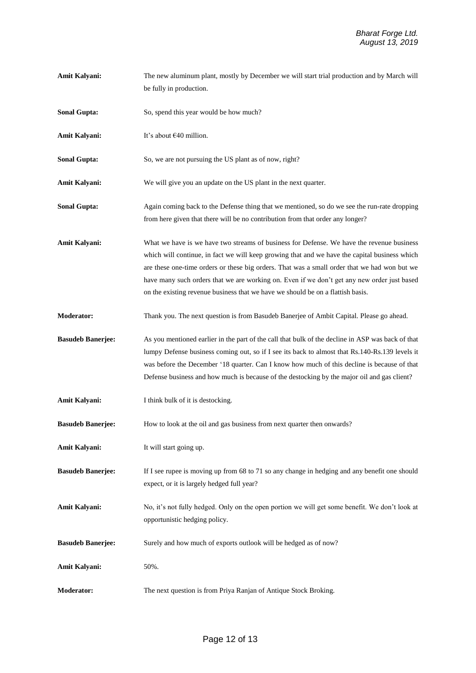| <b>Amit Kalyani:</b>     | The new aluminum plant, mostly by December we will start trial production and by March will<br>be fully in production.                                                                                                                                                                                                                                                                                                                                                       |
|--------------------------|------------------------------------------------------------------------------------------------------------------------------------------------------------------------------------------------------------------------------------------------------------------------------------------------------------------------------------------------------------------------------------------------------------------------------------------------------------------------------|
| <b>Sonal Gupta:</b>      | So, spend this year would be how much?                                                                                                                                                                                                                                                                                                                                                                                                                                       |
| <b>Amit Kalyani:</b>     | It's about €40 million.                                                                                                                                                                                                                                                                                                                                                                                                                                                      |
| <b>Sonal Gupta:</b>      | So, we are not pursuing the US plant as of now, right?                                                                                                                                                                                                                                                                                                                                                                                                                       |
| <b>Amit Kalyani:</b>     | We will give you an update on the US plant in the next quarter.                                                                                                                                                                                                                                                                                                                                                                                                              |
| <b>Sonal Gupta:</b>      | Again coming back to the Defense thing that we mentioned, so do we see the run-rate dropping<br>from here given that there will be no contribution from that order any longer?                                                                                                                                                                                                                                                                                               |
| <b>Amit Kalyani:</b>     | What we have is we have two streams of business for Defense. We have the revenue business<br>which will continue, in fact we will keep growing that and we have the capital business which<br>are these one-time orders or these big orders. That was a small order that we had won but we<br>have many such orders that we are working on. Even if we don't get any new order just based<br>on the existing revenue business that we have we should be on a flattish basis. |
| Moderator:               | Thank you. The next question is from Basudeb Banerjee of Ambit Capital. Please go ahead.                                                                                                                                                                                                                                                                                                                                                                                     |
| <b>Basudeb Banerjee:</b> | As you mentioned earlier in the part of the call that bulk of the decline in ASP was back of that<br>lumpy Defense business coming out, so if I see its back to almost that Rs.140-Rs.139 levels it<br>was before the December '18 quarter. Can I know how much of this decline is because of that<br>Defense business and how much is because of the destocking by the major oil and gas client?                                                                            |
| Amit Kalyani:            | I think bulk of it is destocking.                                                                                                                                                                                                                                                                                                                                                                                                                                            |
| <b>Basudeb Banerjee:</b> | How to look at the oil and gas business from next quarter then onwards?                                                                                                                                                                                                                                                                                                                                                                                                      |
| <b>Amit Kalyani:</b>     | It will start going up.                                                                                                                                                                                                                                                                                                                                                                                                                                                      |
| <b>Basudeb Banerjee:</b> | If I see rupee is moving up from 68 to 71 so any change in hedging and any benefit one should<br>expect, or it is largely hedged full year?                                                                                                                                                                                                                                                                                                                                  |
| Amit Kalyani:            | No, it's not fully hedged. Only on the open portion we will get some benefit. We don't look at<br>opportunistic hedging policy.                                                                                                                                                                                                                                                                                                                                              |
| <b>Basudeb Banerjee:</b> | Surely and how much of exports outlook will be hedged as of now?                                                                                                                                                                                                                                                                                                                                                                                                             |
| Amit Kalyani:            | 50%.                                                                                                                                                                                                                                                                                                                                                                                                                                                                         |
| <b>Moderator:</b>        | The next question is from Priya Ranjan of Antique Stock Broking.                                                                                                                                                                                                                                                                                                                                                                                                             |